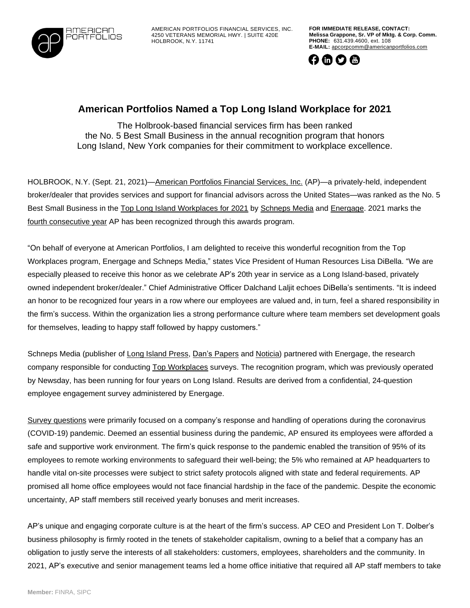

AMERICAN PORTFOLIOS FINANCIAL SERVICES, INC. 4250 VETERANS MEMORIAL HWY. | SUITE 420E HOLBROOK, N.Y. 11741

**FOR IMMEDIATE RELEASE, CONTACT: Melissa Grappone, Sr. VP of Mktg. & Corp. Comm. PHONE:** 631.439.4600, ext. 108 **E-MAIL:** [apcorpcomm@americanportfolios.com](mailto:apcorpcomm@americanportfolios.com)



## **American Portfolios Named a Top Long Island Workplace for 2021**

The Holbrook-based financial services firm has been ranked the No. 5 Best Small Business in the annual recognition program that honors Long Island, New York companies for their commitment to workplace excellence.

HOLBROOK, N.Y. (Sept. 21, 2021)[—American](http://www.americanportfolios.com/) Portfolios Financial Services, Inc. (AP)—a privately-held, independent broker/dealer that provides services and support for financial advisors across the United States—was ranked as the No. 5 Best Small Business in the Top Long Island [Workplaces](https://www.longislandpress.com/2021/09/03/top-li-workplaces-2021-the-best-small-businesses/) for 2021 by [Schneps](https://www.schnepsmedia.com/) Media and [Energage.](https://www.energage.com/) 2021 marks the fourth [consecutive](https://topworkplaces.com/company/american-portfolios-fina/) year AP has been recognized through this awards program.

"On behalf of everyone at American Portfolios, I am delighted to receive this wonderful recognition from the Top Workplaces program, Energage and Schneps Media," states Vice President of Human Resources Lisa DiBella. "We are especially pleased to receive this honor as we celebrate AP's 20th year in service as a Long Island-based, privately owned independent broker/dealer." Chief Administrative Officer Dalchand Laljit echoes DiBella's sentiments. "It is indeed an honor to be recognized four years in a row where our employees are valued and, in turn, feel a shared responsibility in the firm's success. Within the organization lies a strong performance culture where team members set development goals for themselves, leading to happy staff followed by happy customers."

Schneps Media (publisher of Long Island [Press,](https://www.longislandpress.com/2021/09/03/top-li-workplaces-2021-the-best-small-businesses/) Dan's [Papers](https://www.danspapers.com/) and [Noticia\)](https://www.noticiali.com/category/long-island/) partnered with Energage, the research company responsible for conducting Top [Workplaces](https://topworkplaces.com/) surveys. The recognition program, which was previously operated by Newsday, has been running for four years on Long Island. Results are derived from a confidential, 24-question employee engagement survey administered by Energage.

Survey [questions](https://www.longislandpress.com/2021/03/08/long-island-nominate-your-company-as-a-top-workplace/) were primarily focused on a company's response and handling of operations during the coronavirus (COVID-19) pandemic. Deemed an essential business during the pandemic, AP ensured its employees were afforded a safe and supportive work environment. The firm's quick response to the pandemic enabled the transition of 95% of its employees to remote working environments to safeguard their well-being; the 5% who remained at AP headquarters to handle vital on-site processes were subject to strict safety protocols aligned with state and federal requirements. AP promised all home office employees would not face financial hardship in the face of the pandemic. Despite the economic uncertainty, AP staff members still received yearly bonuses and merit increases.

AP's unique and engaging corporate culture is at the heart of the firm's success. AP CEO and President Lon T. Dolber's business philosophy is firmly rooted in the tenets of stakeholder capitalism, owning to a belief that a company has an obligation to justly serve the interests of all stakeholders: customers, employees, shareholders and the community. In 2021, AP's executive and senior management teams led a home office initiative that required all AP staff members to take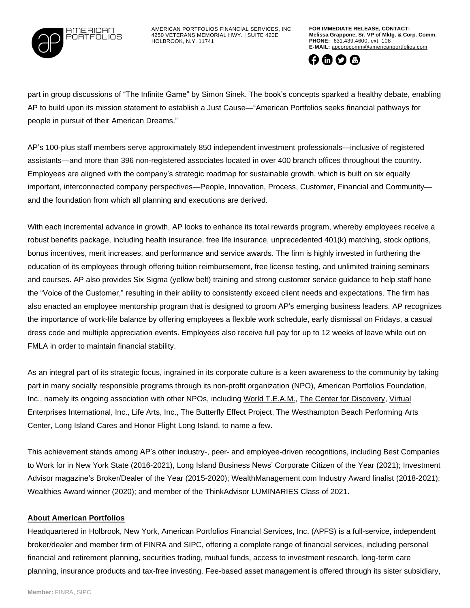

AMERICAN PORTFOLIOS FINANCIAL SERVICES, INC. 4250 VETERANS MEMORIAL HWY. | SUITE 420E HOLBROOK, N.Y. 11741

**FOR IMMEDIATE RELEASE, CONTACT: Melissa Grappone, Sr. VP of Mktg. & Corp. Comm. PHONE:** 631.439.4600, ext. 108 **E-MAIL:** [apcorpcomm@americanportfolios.com](mailto:apcorpcomm@americanportfolios.com)



part in group discussions of "The Infinite Game" by Simon Sinek. The book's concepts sparked a healthy debate, enabling AP to build upon its mission statement to establish a Just Cause—"American Portfolios seeks financial pathways for people in pursuit of their American Dreams."

AP's 100-plus staff members serve approximately 850 independent investment professionals—inclusive of registered assistants—and more than 396 non-registered associates located in over 400 branch offices throughout the country. Employees are aligned with the company's strategic roadmap for sustainable growth, which is built on six equally important, interconnected company perspectives—People, Innovation, Process, Customer, Financial and Community and the foundation from which all planning and executions are derived.

With each incremental advance in growth, AP looks to enhance its total rewards program, whereby employees receive a robust benefits package, including health insurance, free life insurance, unprecedented 401(k) matching, stock options, bonus incentives, merit increases, and performance and service awards. The firm is highly invested in furthering the education of its employees through offering tuition reimbursement, free license testing, and unlimited training seminars and courses. AP also provides Six Sigma (yellow belt) training and strong customer service guidance to help staff hone the "Voice of the Customer," resulting in their ability to consistently exceed client needs and expectations. The firm has also enacted an employee mentorship program that is designed to groom AP's emerging business leaders. AP recognizes the importance of work-life balance by offering employees a flexible work schedule, early dismissal on Fridays, a casual dress code and multiple appreciation events. Employees also receive full pay for up to 12 weeks of leave while out on FMLA in order to maintain financial stability.

As an integral part of its strategic focus, ingrained in its corporate culture is a keen awareness to the community by taking part in many socially responsible programs through its non-profit organization (NPO), American Portfolios Foundation, Inc., namely its ongoing association with other NPOs, including World [T.E.A.M.,](https://www.prweb.com/releases/american_portfolios_sponsors_and_participates_in_world_t_e_a_m_2019_adventure_team_challenge_in_conjunction_with_the_center_for_discovery/prweb16366408.htm) The Center for [Discovery,](https://www.prweb.com/releases/american_portfolios_assistive_technology_lab_officially_opens_at_the_center_for_discoverys_technology_hub_and_incubator/prweb16041980.htm) [Virtual](https://agilitypr.news/American-Portfolios-Financial-Services-H-13377) Enterprises [International,](https://agilitypr.news/American-Portfolios-Financial-Services-H-13377) Inc., Life [Arts,](https://www.accesswire.com/viewarticle.aspx?id=593984&token=k5b7rg6vo1uxz6zuctnt) Inc., The [Butterfly](https://agilitypr.news/American-Portfolios-Announces-Funding-Co-14404) Effect Project, The [Westhampton](https://agilitypr.news/American-Portfolios-Donates-$50,000-to-S-13916) Beach Performing Arts [Center,](https://agilitypr.news/American-Portfolios-Donates-$50,000-to-S-13916) Long [Island](https://www.prweb.com/releases/american_portfolios_donates_25k_to_long_island_cares_for_federal_government_employees_affected_by_the_current_government_shutdown/prweb16041876.htm) Cares and Honor Flight Long [Island,](https://www.prweb.com/releases/american_portfolios_contributes_25_000_to_honor_flight_long_island_and_affiliated_colleagues_accompany_military_veterans_to_washington_d_c/prweb16329103.htm) to name a few.

This achievement stands among AP's other industry-, peer- and employee-driven recognitions, including Best Companies to Work for in New York State (2016-2021), Long Island Business News' Corporate Citizen of the Year (2021); Investment Advisor magazine's Broker/Dealer of the Year (2015-2020); WealthManagement.com Industry Award finalist (2018-2021); Wealthies Award winner (2020); and member of the ThinkAdvisor LUMINARIES Class of 2021.

## **About American Portfolios**

Headquartered in Holbrook, New York, American Portfolios Financial Services, Inc. (APFS) is a full-service, independent broker/dealer and member firm of FINRA and SIPC, offering a complete range of financial services, including personal financial and retirement planning, securities trading, mutual funds, access to investment research, long-term care planning, insurance products and tax-free investing. Fee-based asset management is offered through its sister subsidiary,